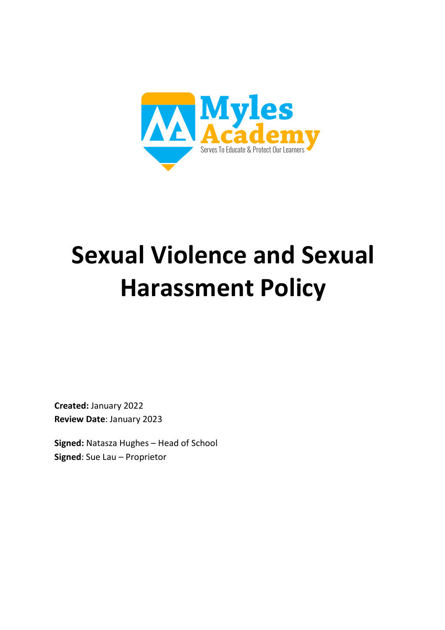

# **Sexual Violence and Sexual Harassment Policy**

**Created:** January 2022 **Review Date**: January 2023

**Signed:** Natasza Hughes – Head of School **Signed**: Sue Lau – Proprietor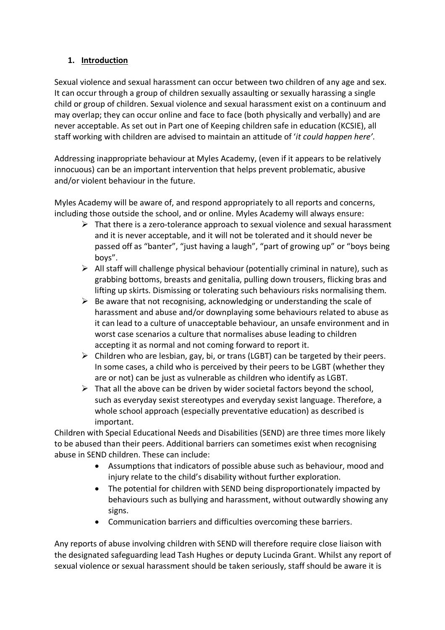## **1. Introduction**

Sexual violence and sexual harassment can occur between two children of any age and sex. It can occur through a group of children sexually assaulting or sexually harassing a single child or group of children. Sexual violence and sexual harassment exist on a continuum and may overlap; they can occur online and face to face (both physically and verbally) and are never acceptable. As set out in Part one of Keeping children safe in education (KCSIE), all staff working with children are advised to maintain an attitude of '*it could happen here'*.

Addressing inappropriate behaviour at Myles Academy, (even if it appears to be relatively innocuous) can be an important intervention that helps prevent problematic, abusive and/or violent behaviour in the future.

Myles Academy will be aware of, and respond appropriately to all reports and concerns, including those outside the school, and or online. Myles Academy will always ensure:

- $\triangleright$  That there is a zero-tolerance approach to sexual violence and sexual harassment and it is never acceptable, and it will not be tolerated and it should never be passed off as "banter", "just having a laugh", "part of growing up" or "boys being boys".
- $\triangleright$  All staff will challenge physical behaviour (potentially criminal in nature), such as grabbing bottoms, breasts and genitalia, pulling down trousers, flicking bras and lifting up skirts. Dismissing or tolerating such behaviours risks normalising them.
- $\triangleright$  Be aware that not recognising, acknowledging or understanding the scale of harassment and abuse and/or downplaying some behaviours related to abuse as it can lead to a culture of unacceptable behaviour, an unsafe environment and in worst case scenarios a culture that normalises abuse leading to children accepting it as normal and not coming forward to report it.
- $\triangleright$  Children who are lesbian, gay, bi, or trans (LGBT) can be targeted by their peers. In some cases, a child who is perceived by their peers to be LGBT (whether they are or not) can be just as vulnerable as children who identify as LGBT.
- $\triangleright$  That all the above can be driven by wider societal factors beyond the school, such as everyday sexist stereotypes and everyday sexist language. Therefore, a whole school approach (especially preventative education) as described is important.

Children with Special Educational Needs and Disabilities (SEND) are three times more likely to be abused than their peers. Additional barriers can sometimes exist when recognising abuse in SEND children. These can include:

- Assumptions that indicators of possible abuse such as behaviour, mood and injury relate to the child's disability without further exploration.
- The potential for children with SEND being disproportionately impacted by behaviours such as bullying and harassment, without outwardly showing any signs.
- Communication barriers and difficulties overcoming these barriers.

Any reports of abuse involving children with SEND will therefore require close liaison with the designated safeguarding lead Tash Hughes or deputy Lucinda Grant. Whilst any report of sexual violence or sexual harassment should be taken seriously, staff should be aware it is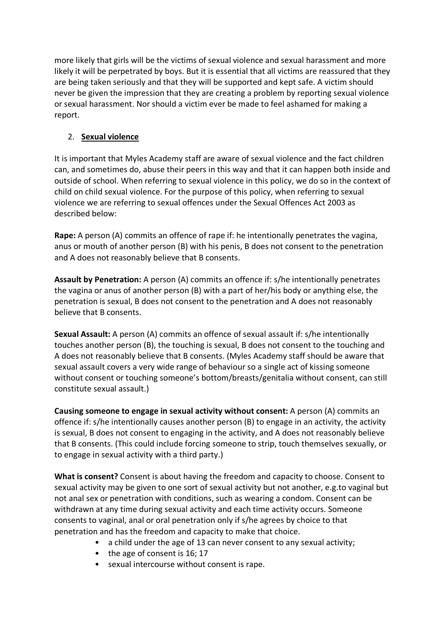more likely that girls will be the victims of sexual violence and sexual harassment and more likely it will be perpetrated by boys. But it is essential that all victims are reassured that they are being taken seriously and that they will be supported and kept safe. A victim should never be given the impression that they are creating a problem by reporting sexual violence or sexual harassment. Nor should a victim ever be made to feel ashamed for making a report.

## 2. **Sexual violence**

It is important that Myles Academy staff are aware of sexual violence and the fact children can, and sometimes do, abuse their peers in this way and that it can happen both inside and outside of school. When referring to sexual violence in this policy, we do so in the context of child on child sexual violence. For the purpose of this policy, when referring to sexual violence we are referring to sexual offences under the Sexual Offences Act 2003 as described below:

**Rape:** A person (A) commits an offence of rape if: he intentionally penetrates the vagina, anus or mouth of another person (B) with his penis, B does not consent to the penetration and A does not reasonably believe that B consents.

**Assault by Penetration:** A person (A) commits an offence if: s/he intentionally penetrates the vagina or anus of another person (B) with a part of her/his body or anything else, the penetration is sexual, B does not consent to the penetration and A does not reasonably believe that B consents.

**Sexual Assault:** A person (A) commits an offence of sexual assault if: s/he intentionally touches another person (B), the touching is sexual, B does not consent to the touching and A does not reasonably believe that B consents. (Myles Academy staff should be aware that sexual assault covers a very wide range of behaviour so a single act of kissing someone without consent or touching someone's bottom/breasts/genitalia without consent, can still constitute sexual assault.)

**Causing someone to engage in sexual activity without consent:** A person (A) commits an offence if: s/he intentionally causes another person (B) to engage in an activity, the activity is sexual, B does not consent to engaging in the activity, and A does not reasonably believe that B consents. (This could include forcing someone to strip, touch themselves sexually, or to engage in sexual activity with a third party.)

**What is consent?** Consent is about having the freedom and capacity to choose. Consent to sexual activity may be given to one sort of sexual activity but not another, e.g.to vaginal but not anal sex or penetration with conditions, such as wearing a condom. Consent can be withdrawn at any time during sexual activity and each time activity occurs. Someone consents to vaginal, anal or oral penetration only if s/he agrees by choice to that penetration and has the freedom and capacity to make that choice.

- a child under the age of 13 can never consent to any sexual activity;
- the age of consent is 16; 17
- sexual intercourse without consent is rape.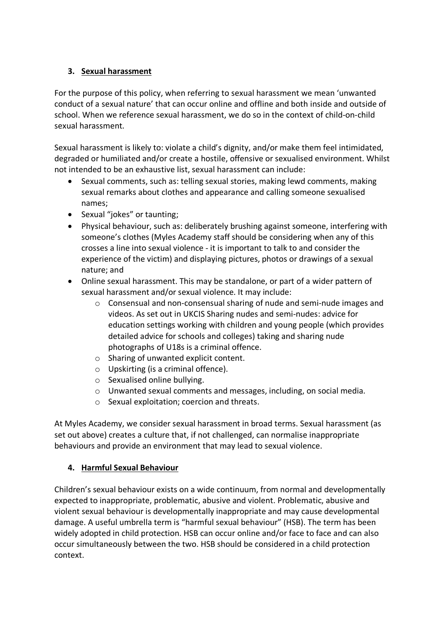## **3. Sexual harassment**

For the purpose of this policy, when referring to sexual harassment we mean 'unwanted conduct of a sexual nature' that can occur online and offline and both inside and outside of school. When we reference sexual harassment, we do so in the context of child-on-child sexual harassment.

Sexual harassment is likely to: violate a child's dignity, and/or make them feel intimidated, degraded or humiliated and/or create a hostile, offensive or sexualised environment. Whilst not intended to be an exhaustive list, sexual harassment can include:

- Sexual comments, such as: telling sexual stories, making lewd comments, making sexual remarks about clothes and appearance and calling someone sexualised names;
- Sexual "jokes" or taunting;
- Physical behaviour, such as: deliberately brushing against someone, interfering with someone's clothes (Myles Academy staff should be considering when any of this crosses a line into sexual violence - it is important to talk to and consider the experience of the victim) and displaying pictures, photos or drawings of a sexual nature; and
- Online sexual harassment. This may be standalone, or part of a wider pattern of sexual harassment and/or sexual violence. It may include:
	- o Consensual and non-consensual sharing of nude and semi-nude images and videos. As set out in UKCIS Sharing nudes and semi-nudes: advice for education settings working with children and young people (which provides detailed advice for schools and colleges) taking and sharing nude photographs of U18s is a criminal offence.
	- o Sharing of unwanted explicit content.
	- o Upskirting (is a criminal offence).
	- o Sexualised online bullying.
	- o Unwanted sexual comments and messages, including, on social media.
	- o Sexual exploitation; coercion and threats.

At Myles Academy, we consider sexual harassment in broad terms. Sexual harassment (as set out above) creates a culture that, if not challenged, can normalise inappropriate behaviours and provide an environment that may lead to sexual violence.

# **4. Harmful Sexual Behaviour**

Children's sexual behaviour exists on a wide continuum, from normal and developmentally expected to inappropriate, problematic, abusive and violent. Problematic, abusive and violent sexual behaviour is developmentally inappropriate and may cause developmental damage. A useful umbrella term is "harmful sexual behaviour" (HSB). The term has been widely adopted in child protection. HSB can occur online and/or face to face and can also occur simultaneously between the two. HSB should be considered in a child protection context.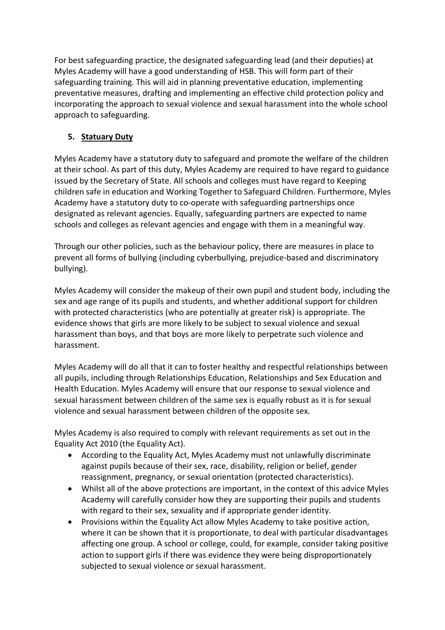For best safeguarding practice, the designated safeguarding lead (and their deputies) at Myles Academy will have a good understanding of HSB. This will form part of their safeguarding training. This will aid in planning preventative education, implementing preventative measures, drafting and implementing an effective child protection policy and incorporating the approach to sexual violence and sexual harassment into the whole school approach to safeguarding.

## **5. Statuary Duty**

Myles Academy have a statutory duty to safeguard and promote the welfare of the children at their school. As part of this duty, Myles Academy are required to have regard to guidance issued by the Secretary of State. All schools and colleges must have regard to Keeping children safe in education and Working Together to Safeguard Children. Furthermore, Myles Academy have a statutory duty to co-operate with safeguarding partnerships once designated as relevant agencies. Equally, safeguarding partners are expected to name schools and colleges as relevant agencies and engage with them in a meaningful way.

Through our other policies, such as the behaviour policy, there are measures in place to prevent all forms of bullying (including cyberbullying, prejudice-based and discriminatory bullying).

Myles Academy will consider the makeup of their own pupil and student body, including the sex and age range of its pupils and students, and whether additional support for children with protected characteristics (who are potentially at greater risk) is appropriate. The evidence shows that girls are more likely to be subject to sexual violence and sexual harassment than boys, and that boys are more likely to perpetrate such violence and harassment.

Myles Academy will do all that it can to foster healthy and respectful relationships between all pupils, including through Relationships Education, Relationships and Sex Education and Health Education. Myles Academy will ensure that our response to sexual violence and sexual harassment between children of the same sex is equally robust as it is for sexual violence and sexual harassment between children of the opposite sex.

Myles Academy is also required to comply with relevant requirements as set out in the Equality Act 2010 (the Equality Act).

- According to the Equality Act, Myles Academy must not unlawfully discriminate against pupils because of their sex, race, disability, religion or belief, gender reassignment, pregnancy, or sexual orientation (protected characteristics).
- Whilst all of the above protections are important, in the context of this advice Myles Academy will carefully consider how they are supporting their pupils and students with regard to their sex, sexuality and if appropriate gender identity.
- Provisions within the Equality Act allow Myles Academy to take positive action, where it can be shown that it is proportionate, to deal with particular disadvantages affecting one group. A school or college, could, for example, consider taking positive action to support girls if there was evidence they were being disproportionately subjected to sexual violence or sexual harassment.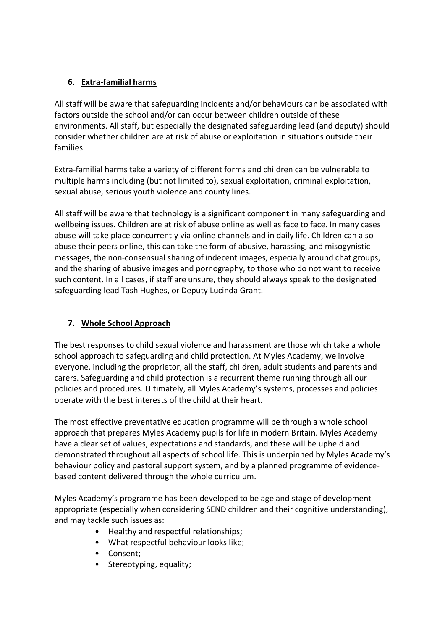## **6. Extra-familial harms**

All staff will be aware that safeguarding incidents and/or behaviours can be associated with factors outside the school and/or can occur between children outside of these environments. All staff, but especially the designated safeguarding lead (and deputy) should consider whether children are at risk of abuse or exploitation in situations outside their families.

Extra-familial harms take a variety of different forms and children can be vulnerable to multiple harms including (but not limited to), sexual exploitation, criminal exploitation, sexual abuse, serious youth violence and county lines.

All staff will be aware that technology is a significant component in many safeguarding and wellbeing issues. Children are at risk of abuse online as well as face to face. In many cases abuse will take place concurrently via online channels and in daily life. Children can also abuse their peers online, this can take the form of abusive, harassing, and misogynistic messages, the non-consensual sharing of indecent images, especially around chat groups, and the sharing of abusive images and pornography, to those who do not want to receive such content. In all cases, if staff are unsure, they should always speak to the designated safeguarding lead Tash Hughes, or Deputy Lucinda Grant.

## **7. Whole School Approach**

The best responses to child sexual violence and harassment are those which take a whole school approach to safeguarding and child protection. At Myles Academy, we involve everyone, including the proprietor, all the staff, children, adult students and parents and carers. Safeguarding and child protection is a recurrent theme running through all our policies and procedures. Ultimately, all Myles Academy's systems, processes and policies operate with the best interests of the child at their heart.

The most effective preventative education programme will be through a whole school approach that prepares Myles Academy pupils for life in modern Britain. Myles Academy have a clear set of values, expectations and standards, and these will be upheld and demonstrated throughout all aspects of school life. This is underpinned by Myles Academy's behaviour policy and pastoral support system, and by a planned programme of evidencebased content delivered through the whole curriculum.

Myles Academy's programme has been developed to be age and stage of development appropriate (especially when considering SEND children and their cognitive understanding), and may tackle such issues as:

- Healthy and respectful relationships;
- What respectful behaviour looks like;
- Consent;
- Stereotyping, equality;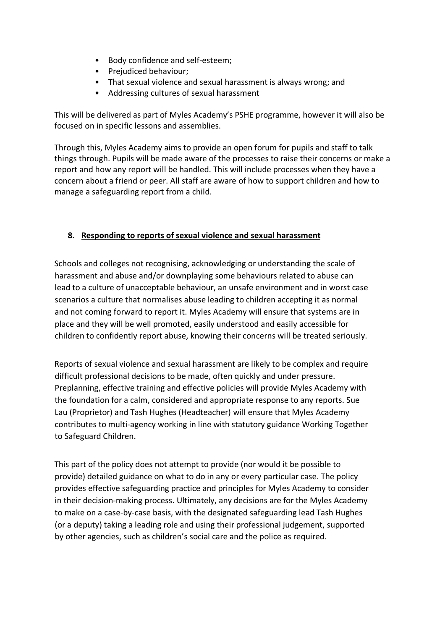- Body confidence and self-esteem;
- Prejudiced behaviour:
- That sexual violence and sexual harassment is always wrong; and
- Addressing cultures of sexual harassment

This will be delivered as part of Myles Academy's PSHE programme, however it will also be focused on in specific lessons and assemblies.

Through this, Myles Academy aims to provide an open forum for pupils and staff to talk things through. Pupils will be made aware of the processes to raise their concerns or make a report and how any report will be handled. This will include processes when they have a concern about a friend or peer. All staff are aware of how to support children and how to manage a safeguarding report from a child.

## **8. Responding to reports of sexual violence and sexual harassment**

Schools and colleges not recognising, acknowledging or understanding the scale of harassment and abuse and/or downplaying some behaviours related to abuse can lead to a culture of unacceptable behaviour, an unsafe environment and in worst case scenarios a culture that normalises abuse leading to children accepting it as normal and not coming forward to report it. Myles Academy will ensure that systems are in place and they will be well promoted, easily understood and easily accessible for children to confidently report abuse, knowing their concerns will be treated seriously.

Reports of sexual violence and sexual harassment are likely to be complex and require difficult professional decisions to be made, often quickly and under pressure. Preplanning, effective training and effective policies will provide Myles Academy with the foundation for a calm, considered and appropriate response to any reports. Sue Lau (Proprietor) and Tash Hughes (Headteacher) will ensure that Myles Academy contributes to multi-agency working in line with statutory guidance Working Together to Safeguard Children.

This part of the policy does not attempt to provide (nor would it be possible to provide) detailed guidance on what to do in any or every particular case. The policy provides effective safeguarding practice and principles for Myles Academy to consider in their decision-making process. Ultimately, any decisions are for the Myles Academy to make on a case-by-case basis, with the designated safeguarding lead Tash Hughes (or a deputy) taking a leading role and using their professional judgement, supported by other agencies, such as children's social care and the police as required.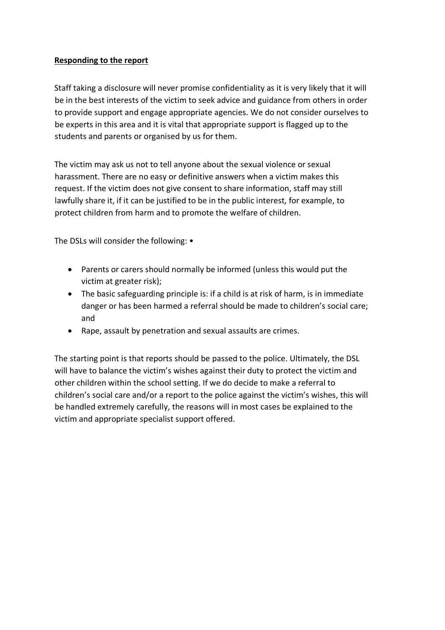#### **Responding to the report**

Staff taking a disclosure will never promise confidentiality as it is very likely that it will be in the best interests of the victim to seek advice and guidance from others in order to provide support and engage appropriate agencies. We do not consider ourselves to be experts in this area and it is vital that appropriate support is flagged up to the students and parents or organised by us for them.

The victim may ask us not to tell anyone about the sexual violence or sexual harassment. There are no easy or definitive answers when a victim makes this request. If the victim does not give consent to share information, staff may still lawfully share it, if it can be justified to be in the public interest, for example, to protect children from harm and to promote the welfare of children.

The DSLs will consider the following: •

- Parents or carers should normally be informed (unless this would put the victim at greater risk);
- The basic safeguarding principle is: if a child is at risk of harm, is in immediate danger or has been harmed a referral should be made to children's social care; and
- Rape, assault by penetration and sexual assaults are crimes.

The starting point is that reports should be passed to the police. Ultimately, the DSL will have to balance the victim's wishes against their duty to protect the victim and other children within the school setting. If we do decide to make a referral to children's social care and/or a report to the police against the victim's wishes, this will be handled extremely carefully, the reasons will in most cases be explained to the victim and appropriate specialist support offered.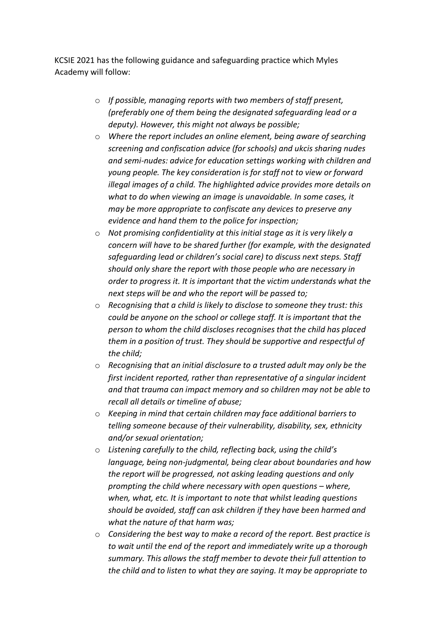KCSIE 2021 has the following guidance and safeguarding practice which Myles Academy will follow:

- o *If possible, managing reports with two members of staff present, (preferably one of them being the designated safeguarding lead or a deputy). However, this might not always be possible;*
- o *Where the report includes an online element, being aware of searching screening and confiscation advice (for schools) and ukcis sharing nudes and semi-nudes: advice for education settings working with children and young people. The key consideration is for staff not to view or forward illegal images of a child. The highlighted advice provides more details on what to do when viewing an image is unavoidable. In some cases, it may be more appropriate to confiscate any devices to preserve any evidence and hand them to the police for inspection;*
- o *Not promising confidentiality at this initial stage as it is very likely a concern will have to be shared further (for example, with the designated safeguarding lead or children's social care) to discuss next steps. Staff should only share the report with those people who are necessary in order to progress it. It is important that the victim understands what the next steps will be and who the report will be passed to;*
- o *Recognising that a child is likely to disclose to someone they trust: this could be anyone on the school or college staff. It is important that the person to whom the child discloses recognises that the child has placed them in a position of trust. They should be supportive and respectful of the child;*
- o *Recognising that an initial disclosure to a trusted adult may only be the first incident reported, rather than representative of a singular incident and that trauma can impact memory and so children may not be able to recall all details or timeline of abuse;*
- o *Keeping in mind that certain children may face additional barriers to telling someone because of their vulnerability, disability, sex, ethnicity and/or sexual orientation;*
- o *Listening carefully to the child, reflecting back, using the child's language, being non-judgmental, being clear about boundaries and how the report will be progressed, not asking leading questions and only prompting the child where necessary with open questions – where, when, what, etc. It is important to note that whilst leading questions should be avoided, staff can ask children if they have been harmed and what the nature of that harm was;*
- o *Considering the best way to make a record of the report. Best practice is to wait until the end of the report and immediately write up a thorough summary. This allows the staff member to devote their full attention to the child and to listen to what they are saying. It may be appropriate to*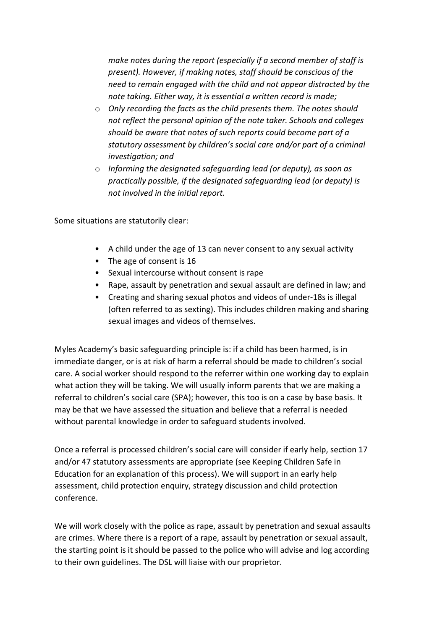*make notes during the report (especially if a second member of staff is present). However, if making notes, staff should be conscious of the need to remain engaged with the child and not appear distracted by the note taking. Either way, it is essential a written record is made;* 

- o *Only recording the facts as the child presents them. The notes should not reflect the personal opinion of the note taker. Schools and colleges should be aware that notes of such reports could become part of a statutory assessment by children's social care and/or part of a criminal investigation; and*
- o *Informing the designated safeguarding lead (or deputy), as soon as practically possible, if the designated safeguarding lead (or deputy) is not involved in the initial report.*

Some situations are statutorily clear:

- A child under the age of 13 can never consent to any sexual activity
- The age of consent is 16
- Sexual intercourse without consent is rape
- Rape, assault by penetration and sexual assault are defined in law; and
- Creating and sharing sexual photos and videos of under-18s is illegal (often referred to as sexting). This includes children making and sharing sexual images and videos of themselves.

Myles Academy's basic safeguarding principle is: if a child has been harmed, is in immediate danger, or is at risk of harm a referral should be made to children's social care. A social worker should respond to the referrer within one working day to explain what action they will be taking. We will usually inform parents that we are making a referral to children's social care (SPA); however, this too is on a case by base basis. It may be that we have assessed the situation and believe that a referral is needed without parental knowledge in order to safeguard students involved.

Once a referral is processed children's social care will consider if early help, section 17 and/or 47 statutory assessments are appropriate (see Keeping Children Safe in Education for an explanation of this process). We will support in an early help assessment, child protection enquiry, strategy discussion and child protection conference.

We will work closely with the police as rape, assault by penetration and sexual assaults are crimes. Where there is a report of a rape, assault by penetration or sexual assault, the starting point is it should be passed to the police who will advise and log according to their own guidelines. The DSL will liaise with our proprietor.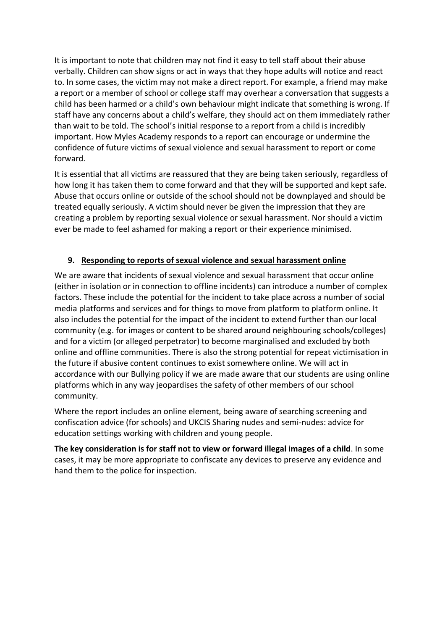It is important to note that children may not find it easy to tell staff about their abuse verbally. Children can show signs or act in ways that they hope adults will notice and react to. In some cases, the victim may not make a direct report. For example, a friend may make a report or a member of school or college staff may overhear a conversation that suggests a child has been harmed or a child's own behaviour might indicate that something is wrong. If staff have any concerns about a child's welfare, they should act on them immediately rather than wait to be told. The school's initial response to a report from a child is incredibly important. How Myles Academy responds to a report can encourage or undermine the confidence of future victims of sexual violence and sexual harassment to report or come forward.

It is essential that all victims are reassured that they are being taken seriously, regardless of how long it has taken them to come forward and that they will be supported and kept safe. Abuse that occurs online or outside of the school should not be downplayed and should be treated equally seriously. A victim should never be given the impression that they are creating a problem by reporting sexual violence or sexual harassment. Nor should a victim ever be made to feel ashamed for making a report or their experience minimised.

## **9. Responding to reports of sexual violence and sexual harassment online**

We are aware that incidents of sexual violence and sexual harassment that occur online (either in isolation or in connection to offline incidents) can introduce a number of complex factors. These include the potential for the incident to take place across a number of social media platforms and services and for things to move from platform to platform online. It also includes the potential for the impact of the incident to extend further than our local community (e.g. for images or content to be shared around neighbouring schools/colleges) and for a victim (or alleged perpetrator) to become marginalised and excluded by both online and offline communities. There is also the strong potential for repeat victimisation in the future if abusive content continues to exist somewhere online. We will act in accordance with our Bullying policy if we are made aware that our students are using online platforms which in any way jeopardises the safety of other members of our school community.

Where the report includes an online element, being aware of searching screening and confiscation advice (for schools) and UKCIS Sharing nudes and semi-nudes: advice for education settings working with children and young people.

**The key consideration is for staff not to view or forward illegal images of a child**. In some cases, it may be more appropriate to confiscate any devices to preserve any evidence and hand them to the police for inspection.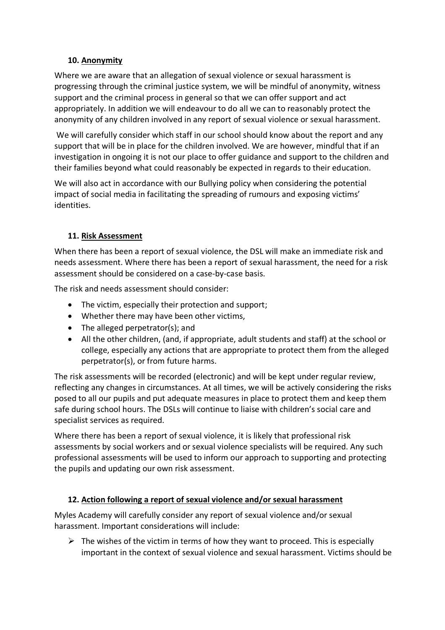## **10. Anonymity**

Where we are aware that an allegation of sexual violence or sexual harassment is progressing through the criminal justice system, we will be mindful of anonymity, witness support and the criminal process in general so that we can offer support and act appropriately. In addition we will endeavour to do all we can to reasonably protect the anonymity of any children involved in any report of sexual violence or sexual harassment.

We will carefully consider which staff in our school should know about the report and any support that will be in place for the children involved. We are however, mindful that if an investigation in ongoing it is not our place to offer guidance and support to the children and their families beyond what could reasonably be expected in regards to their education.

We will also act in accordance with our Bullying policy when considering the potential impact of social media in facilitating the spreading of rumours and exposing victims' identities.

## **11. Risk Assessment**

When there has been a report of sexual violence, the DSL will make an immediate risk and needs assessment. Where there has been a report of sexual harassment, the need for a risk assessment should be considered on a case-by-case basis.

The risk and needs assessment should consider:

- The victim, especially their protection and support;
- Whether there may have been other victims,
- The alleged perpetrator(s); and
- All the other children, (and, if appropriate, adult students and staff) at the school or college, especially any actions that are appropriate to protect them from the alleged perpetrator(s), or from future harms.

The risk assessments will be recorded (electronic) and will be kept under regular review, reflecting any changes in circumstances. At all times, we will be actively considering the risks posed to all our pupils and put adequate measures in place to protect them and keep them safe during school hours. The DSLs will continue to liaise with children's social care and specialist services as required.

Where there has been a report of sexual violence, it is likely that professional risk assessments by social workers and or sexual violence specialists will be required. Any such professional assessments will be used to inform our approach to supporting and protecting the pupils and updating our own risk assessment.

## **12. Action following a report of sexual violence and/or sexual harassment**

Myles Academy will carefully consider any report of sexual violence and/or sexual harassment. Important considerations will include:

 $\triangleright$  The wishes of the victim in terms of how they want to proceed. This is especially important in the context of sexual violence and sexual harassment. Victims should be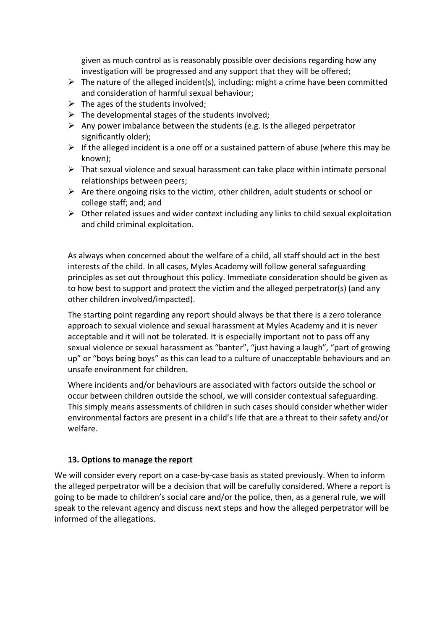given as much control as is reasonably possible over decisions regarding how any investigation will be progressed and any support that they will be offered;

- $\triangleright$  The nature of the alleged incident(s), including: might a crime have been committed and consideration of harmful sexual behaviour;
- $\triangleright$  The ages of the students involved;
- $\triangleright$  The developmental stages of the students involved;
- $\triangleright$  Any power imbalance between the students (e.g. Is the alleged perpetrator significantly older);
- $\triangleright$  If the alleged incident is a one off or a sustained pattern of abuse (where this may be known);
- $\triangleright$  That sexual violence and sexual harassment can take place within intimate personal relationships between peers;
- $\triangleright$  Are there ongoing risks to the victim, other children, adult students or school or college staff; and; and
- $\triangleright$  Other related issues and wider context including any links to child sexual exploitation and child criminal exploitation.

As always when concerned about the welfare of a child, all staff should act in the best interests of the child. In all cases, Myles Academy will follow general safeguarding principles as set out throughout this policy. Immediate consideration should be given as to how best to support and protect the victim and the alleged perpetrator(s) (and any other children involved/impacted).

The starting point regarding any report should always be that there is a zero tolerance approach to sexual violence and sexual harassment at Myles Academy and it is never acceptable and it will not be tolerated. It is especially important not to pass off any sexual violence or sexual harassment as "banter", "just having a laugh", "part of growing up" or "boys being boys" as this can lead to a culture of unacceptable behaviours and an unsafe environment for children.

Where incidents and/or behaviours are associated with factors outside the school or occur between children outside the school, we will consider contextual safeguarding. This simply means assessments of children in such cases should consider whether wider environmental factors are present in a child's life that are a threat to their safety and/or welfare.

#### **13. Options to manage the report**

We will consider every report on a case-by-case basis as stated previously. When to inform the alleged perpetrator will be a decision that will be carefully considered. Where a report is going to be made to children's social care and/or the police, then, as a general rule, we will speak to the relevant agency and discuss next steps and how the alleged perpetrator will be informed of the allegations.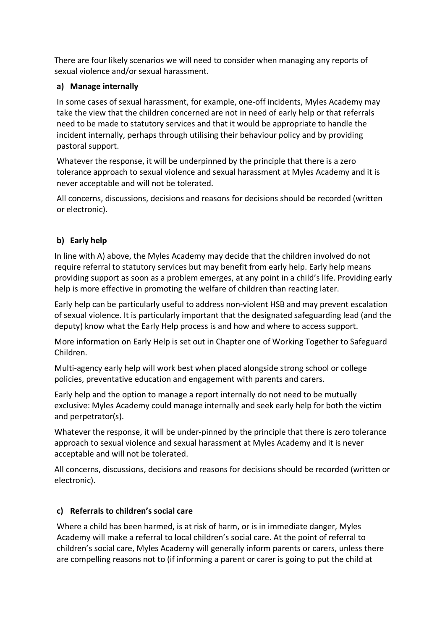There are four likely scenarios we will need to consider when managing any reports of sexual violence and/or sexual harassment.

## **a) Manage internally**

In some cases of sexual harassment, for example, one-off incidents, Myles Academy may take the view that the children concerned are not in need of early help or that referrals need to be made to statutory services and that it would be appropriate to handle the incident internally, perhaps through utilising their behaviour policy and by providing pastoral support.

Whatever the response, it will be underpinned by the principle that there is a zero tolerance approach to sexual violence and sexual harassment at Myles Academy and it is never acceptable and will not be tolerated.

All concerns, discussions, decisions and reasons for decisions should be recorded (written or electronic).

# **b) Early help**

In line with A) above, the Myles Academy may decide that the children involved do not require referral to statutory services but may benefit from early help. Early help means providing support as soon as a problem emerges, at any point in a child's life. Providing early help is more effective in promoting the welfare of children than reacting later.

Early help can be particularly useful to address non-violent HSB and may prevent escalation of sexual violence. It is particularly important that the designated safeguarding lead (and the deputy) know what the Early Help process is and how and where to access support.

More information on Early Help is set out in Chapter one of Working Together to Safeguard Children.

Multi-agency early help will work best when placed alongside strong school or college policies, preventative education and engagement with parents and carers.

Early help and the option to manage a report internally do not need to be mutually exclusive: Myles Academy could manage internally and seek early help for both the victim and perpetrator(s).

Whatever the response, it will be under-pinned by the principle that there is zero tolerance approach to sexual violence and sexual harassment at Myles Academy and it is never acceptable and will not be tolerated.

All concerns, discussions, decisions and reasons for decisions should be recorded (written or electronic).

## **c) Referrals to children's social care**

Where a child has been harmed, is at risk of harm, or is in immediate danger, Myles Academy will make a referral to local children's social care. At the point of referral to children's social care, Myles Academy will generally inform parents or carers, unless there are compelling reasons not to (if informing a parent or carer is going to put the child at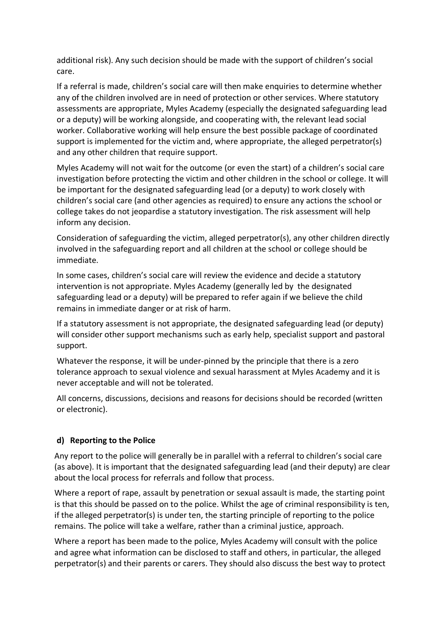additional risk). Any such decision should be made with the support of children's social care.

If a referral is made, children's social care will then make enquiries to determine whether any of the children involved are in need of protection or other services. Where statutory assessments are appropriate, Myles Academy (especially the designated safeguarding lead or a deputy) will be working alongside, and cooperating with, the relevant lead social worker. Collaborative working will help ensure the best possible package of coordinated support is implemented for the victim and, where appropriate, the alleged perpetrator(s) and any other children that require support.

Myles Academy will not wait for the outcome (or even the start) of a children's social care investigation before protecting the victim and other children in the school or college. It will be important for the designated safeguarding lead (or a deputy) to work closely with children's social care (and other agencies as required) to ensure any actions the school or college takes do not jeopardise a statutory investigation. The risk assessment will help inform any decision.

Consideration of safeguarding the victim, alleged perpetrator(s), any other children directly involved in the safeguarding report and all children at the school or college should be immediate.

In some cases, children's social care will review the evidence and decide a statutory intervention is not appropriate. Myles Academy (generally led by the designated safeguarding lead or a deputy) will be prepared to refer again if we believe the child remains in immediate danger or at risk of harm.

If a statutory assessment is not appropriate, the designated safeguarding lead (or deputy) will consider other support mechanisms such as early help, specialist support and pastoral support.

Whatever the response, it will be under-pinned by the principle that there is a zero tolerance approach to sexual violence and sexual harassment at Myles Academy and it is never acceptable and will not be tolerated.

All concerns, discussions, decisions and reasons for decisions should be recorded (written or electronic).

#### **d) Reporting to the Police**

Any report to the police will generally be in parallel with a referral to children's social care (as above). It is important that the designated safeguarding lead (and their deputy) are clear about the local process for referrals and follow that process.

Where a report of rape, assault by penetration or sexual assault is made, the starting point is that this should be passed on to the police. Whilst the age of criminal responsibility is ten, if the alleged perpetrator(s) is under ten, the starting principle of reporting to the police remains. The police will take a welfare, rather than a criminal justice, approach.

Where a report has been made to the police, Myles Academy will consult with the police and agree what information can be disclosed to staff and others, in particular, the alleged perpetrator(s) and their parents or carers. They should also discuss the best way to protect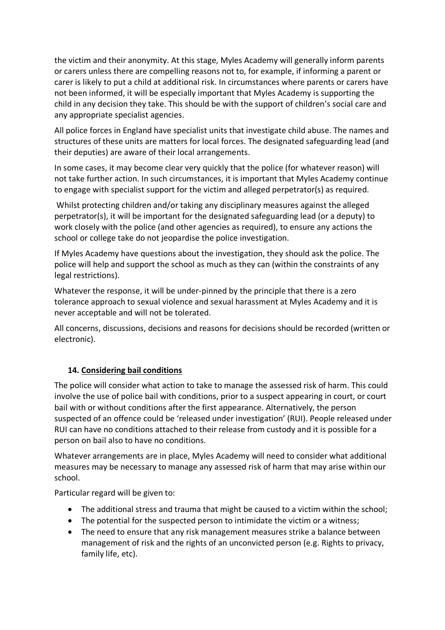the victim and their anonymity. At this stage, Myles Academy will generally inform parents or carers unless there are compelling reasons not to, for example, if informing a parent or carer is likely to put a child at additional risk. In circumstances where parents or carers have not been informed, it will be especially important that Myles Academy is supporting the child in any decision they take. This should be with the support of children's social care and any appropriate specialist agencies.

All police forces in England have specialist units that investigate child abuse. The names and structures of these units are matters for local forces. The designated safeguarding lead (and their deputies) are aware of their local arrangements.

In some cases, it may become clear very quickly that the police (for whatever reason) will not take further action. In such circumstances, it is important that Myles Academy continue to engage with specialist support for the victim and alleged perpetrator(s) as required.

Whilst protecting children and/or taking any disciplinary measures against the alleged perpetrator(s), it will be important for the designated safeguarding lead (or a deputy) to work closely with the police (and other agencies as required), to ensure any actions the school or college take do not jeopardise the police investigation.

If Myles Academy have questions about the investigation, they should ask the police. The police will help and support the school as much as they can (within the constraints of any legal restrictions).

Whatever the response, it will be under-pinned by the principle that there is a zero tolerance approach to sexual violence and sexual harassment at Myles Academy and it is never acceptable and will not be tolerated.

All concerns, discussions, decisions and reasons for decisions should be recorded (written or electronic).

#### **14. Considering bail conditions**

The police will consider what action to take to manage the assessed risk of harm. This could involve the use of police bail with conditions, prior to a suspect appearing in court, or court bail with or without conditions after the first appearance. Alternatively, the person suspected of an offence could be 'released under investigation' (RUI). People released under RUI can have no conditions attached to their release from custody and it is possible for a person on bail also to have no conditions.

Whatever arrangements are in place, Myles Academy will need to consider what additional measures may be necessary to manage any assessed risk of harm that may arise within our school.

Particular regard will be given to:

- The additional stress and trauma that might be caused to a victim within the school;
- The potential for the suspected person to intimidate the victim or a witness;
- The need to ensure that any risk management measures strike a balance between management of risk and the rights of an unconvicted person (e.g. Rights to privacy, family life, etc).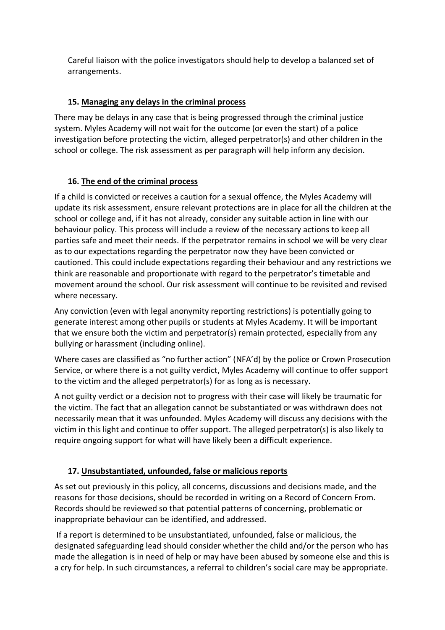Careful liaison with the police investigators should help to develop a balanced set of arrangements.

## **15. Managing any delays in the criminal process**

There may be delays in any case that is being progressed through the criminal justice system. Myles Academy will not wait for the outcome (or even the start) of a police investigation before protecting the victim, alleged perpetrator(s) and other children in the school or college. The risk assessment as per paragraph will help inform any decision.

## **16. The end of the criminal process**

If a child is convicted or receives a caution for a sexual offence, the Myles Academy will update its risk assessment, ensure relevant protections are in place for all the children at the school or college and, if it has not already, consider any suitable action in line with our behaviour policy. This process will include a review of the necessary actions to keep all parties safe and meet their needs. If the perpetrator remains in school we will be very clear as to our expectations regarding the perpetrator now they have been convicted or cautioned. This could include expectations regarding their behaviour and any restrictions we think are reasonable and proportionate with regard to the perpetrator's timetable and movement around the school. Our risk assessment will continue to be revisited and revised where necessary.

Any conviction (even with legal anonymity reporting restrictions) is potentially going to generate interest among other pupils or students at Myles Academy. It will be important that we ensure both the victim and perpetrator(s) remain protected, especially from any bullying or harassment (including online).

Where cases are classified as "no further action" (NFA'd) by the police or Crown Prosecution Service, or where there is a not guilty verdict, Myles Academy will continue to offer support to the victim and the alleged perpetrator(s) for as long as is necessary.

A not guilty verdict or a decision not to progress with their case will likely be traumatic for the victim. The fact that an allegation cannot be substantiated or was withdrawn does not necessarily mean that it was unfounded. Myles Academy will discuss any decisions with the victim in this light and continue to offer support. The alleged perpetrator(s) is also likely to require ongoing support for what will have likely been a difficult experience.

## **17. Unsubstantiated, unfounded, false or malicious reports**

As set out previously in this policy, all concerns, discussions and decisions made, and the reasons for those decisions, should be recorded in writing on a Record of Concern From. Records should be reviewed so that potential patterns of concerning, problematic or inappropriate behaviour can be identified, and addressed.

If a report is determined to be unsubstantiated, unfounded, false or malicious, the designated safeguarding lead should consider whether the child and/or the person who has made the allegation is in need of help or may have been abused by someone else and this is a cry for help. In such circumstances, a referral to children's social care may be appropriate.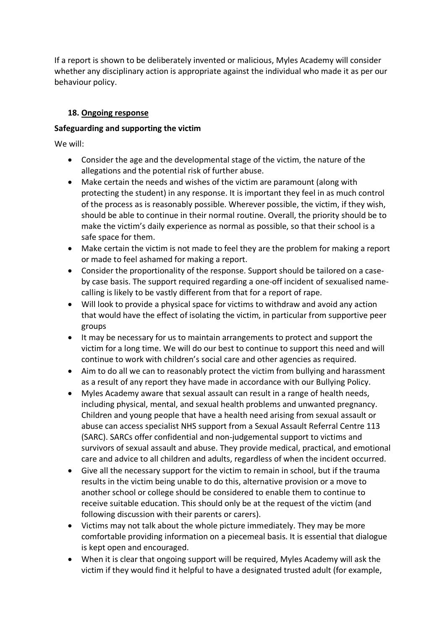If a report is shown to be deliberately invented or malicious, Myles Academy will consider whether any disciplinary action is appropriate against the individual who made it as per our behaviour policy.

#### **18. Ongoing response**

#### **Safeguarding and supporting the victim**

We will:

- Consider the age and the developmental stage of the victim, the nature of the allegations and the potential risk of further abuse.
- Make certain the needs and wishes of the victim are paramount (along with protecting the student) in any response. It is important they feel in as much control of the process as is reasonably possible. Wherever possible, the victim, if they wish, should be able to continue in their normal routine. Overall, the priority should be to make the victim's daily experience as normal as possible, so that their school is a safe space for them.
- Make certain the victim is not made to feel they are the problem for making a report or made to feel ashamed for making a report.
- Consider the proportionality of the response. Support should be tailored on a caseby case basis. The support required regarding a one-off incident of sexualised namecalling is likely to be vastly different from that for a report of rape.
- Will look to provide a physical space for victims to withdraw and avoid any action that would have the effect of isolating the victim, in particular from supportive peer groups
- It may be necessary for us to maintain arrangements to protect and support the victim for a long time. We will do our best to continue to support this need and will continue to work with children's social care and other agencies as required.
- Aim to do all we can to reasonably protect the victim from bullying and harassment as a result of any report they have made in accordance with our Bullying Policy.
- Myles Academy aware that sexual assault can result in a range of health needs, including physical, mental, and sexual health problems and unwanted pregnancy. Children and young people that have a health need arising from sexual assault or abuse can access specialist NHS support from a Sexual Assault Referral Centre 113 (SARC). SARCs offer confidential and non-judgemental support to victims and survivors of sexual assault and abuse. They provide medical, practical, and emotional care and advice to all children and adults, regardless of when the incident occurred.
- Give all the necessary support for the victim to remain in school, but if the trauma results in the victim being unable to do this, alternative provision or a move to another school or college should be considered to enable them to continue to receive suitable education. This should only be at the request of the victim (and following discussion with their parents or carers).
- Victims may not talk about the whole picture immediately. They may be more comfortable providing information on a piecemeal basis. It is essential that dialogue is kept open and encouraged.
- When it is clear that ongoing support will be required, Myles Academy will ask the victim if they would find it helpful to have a designated trusted adult (for example,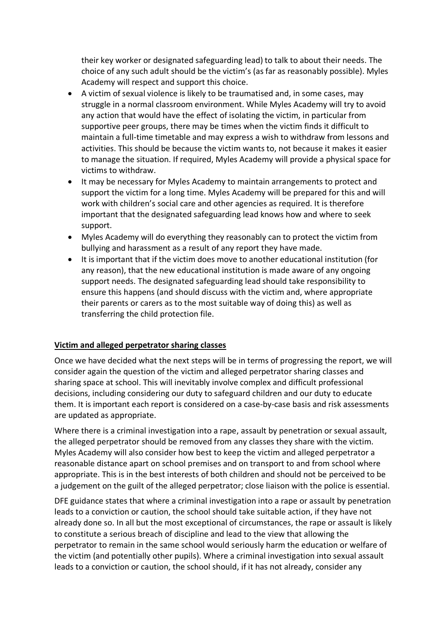their key worker or designated safeguarding lead) to talk to about their needs. The choice of any such adult should be the victim's (as far as reasonably possible). Myles Academy will respect and support this choice.

- A victim of sexual violence is likely to be traumatised and, in some cases, may struggle in a normal classroom environment. While Myles Academy will try to avoid any action that would have the effect of isolating the victim, in particular from supportive peer groups, there may be times when the victim finds it difficult to maintain a full-time timetable and may express a wish to withdraw from lessons and activities. This should be because the victim wants to, not because it makes it easier to manage the situation. If required, Myles Academy will provide a physical space for victims to withdraw.
- It may be necessary for Myles Academy to maintain arrangements to protect and support the victim for a long time. Myles Academy will be prepared for this and will work with children's social care and other agencies as required. It is therefore important that the designated safeguarding lead knows how and where to seek support.
- Myles Academy will do everything they reasonably can to protect the victim from bullying and harassment as a result of any report they have made.
- It is important that if the victim does move to another educational institution (for any reason), that the new educational institution is made aware of any ongoing support needs. The designated safeguarding lead should take responsibility to ensure this happens (and should discuss with the victim and, where appropriate their parents or carers as to the most suitable way of doing this) as well as transferring the child protection file.

#### **Victim and alleged perpetrator sharing classes**

Once we have decided what the next steps will be in terms of progressing the report, we will consider again the question of the victim and alleged perpetrator sharing classes and sharing space at school. This will inevitably involve complex and difficult professional decisions, including considering our duty to safeguard children and our duty to educate them. It is important each report is considered on a case-by-case basis and risk assessments are updated as appropriate.

Where there is a criminal investigation into a rape, assault by penetration or sexual assault, the alleged perpetrator should be removed from any classes they share with the victim. Myles Academy will also consider how best to keep the victim and alleged perpetrator a reasonable distance apart on school premises and on transport to and from school where appropriate. This is in the best interests of both children and should not be perceived to be a judgement on the guilt of the alleged perpetrator; close liaison with the police is essential.

DFE guidance states that where a criminal investigation into a rape or assault by penetration leads to a conviction or caution, the school should take suitable action, if they have not already done so. In all but the most exceptional of circumstances, the rape or assault is likely to constitute a serious breach of discipline and lead to the view that allowing the perpetrator to remain in the same school would seriously harm the education or welfare of the victim (and potentially other pupils). Where a criminal investigation into sexual assault leads to a conviction or caution, the school should, if it has not already, consider any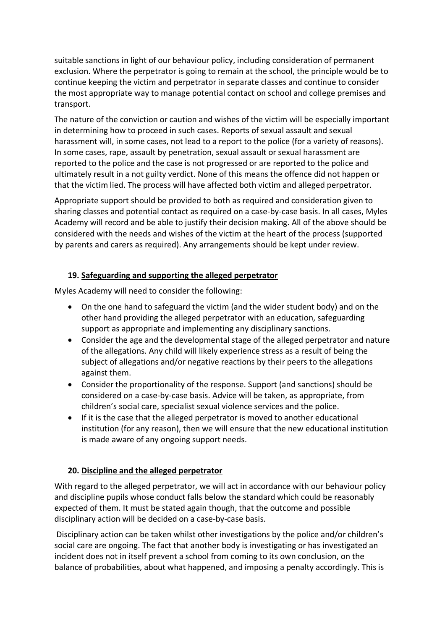suitable sanctions in light of our behaviour policy, including consideration of permanent exclusion. Where the perpetrator is going to remain at the school, the principle would be to continue keeping the victim and perpetrator in separate classes and continue to consider the most appropriate way to manage potential contact on school and college premises and transport.

The nature of the conviction or caution and wishes of the victim will be especially important in determining how to proceed in such cases. Reports of sexual assault and sexual harassment will, in some cases, not lead to a report to the police (for a variety of reasons). In some cases, rape, assault by penetration, sexual assault or sexual harassment are reported to the police and the case is not progressed or are reported to the police and ultimately result in a not guilty verdict. None of this means the offence did not happen or that the victim lied. The process will have affected both victim and alleged perpetrator.

Appropriate support should be provided to both as required and consideration given to sharing classes and potential contact as required on a case-by-case basis. In all cases, Myles Academy will record and be able to justify their decision making. All of the above should be considered with the needs and wishes of the victim at the heart of the process (supported by parents and carers as required). Any arrangements should be kept under review.

#### **19. Safeguarding and supporting the alleged perpetrator**

Myles Academy will need to consider the following:

- On the one hand to safeguard the victim (and the wider student body) and on the other hand providing the alleged perpetrator with an education, safeguarding support as appropriate and implementing any disciplinary sanctions.
- Consider the age and the developmental stage of the alleged perpetrator and nature of the allegations. Any child will likely experience stress as a result of being the subject of allegations and/or negative reactions by their peers to the allegations against them.
- Consider the proportionality of the response. Support (and sanctions) should be considered on a case-by-case basis. Advice will be taken, as appropriate, from children's social care, specialist sexual violence services and the police.
- If it is the case that the alleged perpetrator is moved to another educational institution (for any reason), then we will ensure that the new educational institution is made aware of any ongoing support needs.

#### **20. Discipline and the alleged perpetrator**

With regard to the alleged perpetrator, we will act in accordance with our behaviour policy and discipline pupils whose conduct falls below the standard which could be reasonably expected of them. It must be stated again though, that the outcome and possible disciplinary action will be decided on a case-by-case basis.

Disciplinary action can be taken whilst other investigations by the police and/or children's social care are ongoing. The fact that another body is investigating or has investigated an incident does not in itself prevent a school from coming to its own conclusion, on the balance of probabilities, about what happened, and imposing a penalty accordingly. This is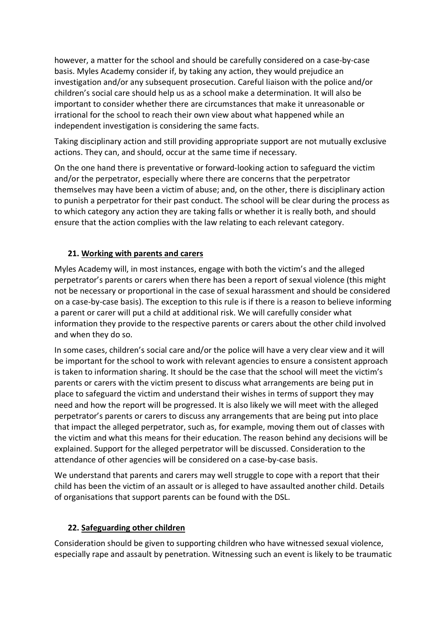however, a matter for the school and should be carefully considered on a case-by-case basis. Myles Academy consider if, by taking any action, they would prejudice an investigation and/or any subsequent prosecution. Careful liaison with the police and/or children's social care should help us as a school make a determination. It will also be important to consider whether there are circumstances that make it unreasonable or irrational for the school to reach their own view about what happened while an independent investigation is considering the same facts.

Taking disciplinary action and still providing appropriate support are not mutually exclusive actions. They can, and should, occur at the same time if necessary.

On the one hand there is preventative or forward-looking action to safeguard the victim and/or the perpetrator, especially where there are concerns that the perpetrator themselves may have been a victim of abuse; and, on the other, there is disciplinary action to punish a perpetrator for their past conduct. The school will be clear during the process as to which category any action they are taking falls or whether it is really both, and should ensure that the action complies with the law relating to each relevant category.

## **21. Working with parents and carers**

Myles Academy will, in most instances, engage with both the victim's and the alleged perpetrator's parents or carers when there has been a report of sexual violence (this might not be necessary or proportional in the case of sexual harassment and should be considered on a case-by-case basis). The exception to this rule is if there is a reason to believe informing a parent or carer will put a child at additional risk. We will carefully consider what information they provide to the respective parents or carers about the other child involved and when they do so.

In some cases, children's social care and/or the police will have a very clear view and it will be important for the school to work with relevant agencies to ensure a consistent approach is taken to information sharing. It should be the case that the school will meet the victim's parents or carers with the victim present to discuss what arrangements are being put in place to safeguard the victim and understand their wishes in terms of support they may need and how the report will be progressed. It is also likely we will meet with the alleged perpetrator's parents or carers to discuss any arrangements that are being put into place that impact the alleged perpetrator, such as, for example, moving them out of classes with the victim and what this means for their education. The reason behind any decisions will be explained. Support for the alleged perpetrator will be discussed. Consideration to the attendance of other agencies will be considered on a case-by-case basis.

We understand that parents and carers may well struggle to cope with a report that their child has been the victim of an assault or is alleged to have assaulted another child. Details of organisations that support parents can be found with the DSL.

#### **22. Safeguarding other children**

Consideration should be given to supporting children who have witnessed sexual violence, especially rape and assault by penetration. Witnessing such an event is likely to be traumatic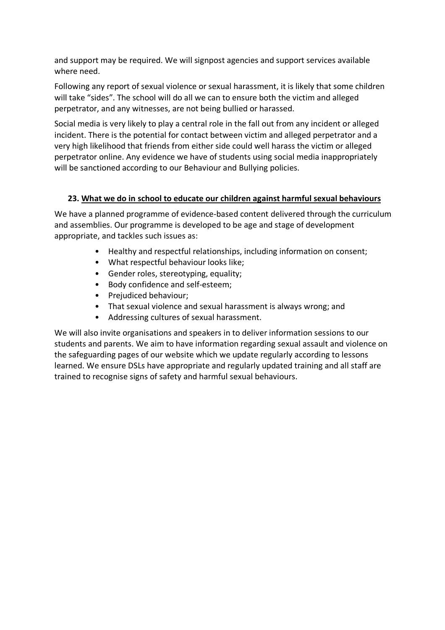and support may be required. We will signpost agencies and support services available where need.

Following any report of sexual violence or sexual harassment, it is likely that some children will take "sides". The school will do all we can to ensure both the victim and alleged perpetrator, and any witnesses, are not being bullied or harassed.

Social media is very likely to play a central role in the fall out from any incident or alleged incident. There is the potential for contact between victim and alleged perpetrator and a very high likelihood that friends from either side could well harass the victim or alleged perpetrator online. Any evidence we have of students using social media inappropriately will be sanctioned according to our Behaviour and Bullying policies.

#### **23. What we do in school to educate our children against harmful sexual behaviours**

We have a planned programme of evidence-based content delivered through the curriculum and assemblies. Our programme is developed to be age and stage of development appropriate, and tackles such issues as:

- Healthy and respectful relationships, including information on consent;
- What respectful behaviour looks like;
- Gender roles, stereotyping, equality;
- Body confidence and self-esteem;
- Prejudiced behaviour;
- That sexual violence and sexual harassment is always wrong; and
- Addressing cultures of sexual harassment.

We will also invite organisations and speakers in to deliver information sessions to our students and parents. We aim to have information regarding sexual assault and violence on the safeguarding pages of our website which we update regularly according to lessons learned. We ensure DSLs have appropriate and regularly updated training and all staff are trained to recognise signs of safety and harmful sexual behaviours.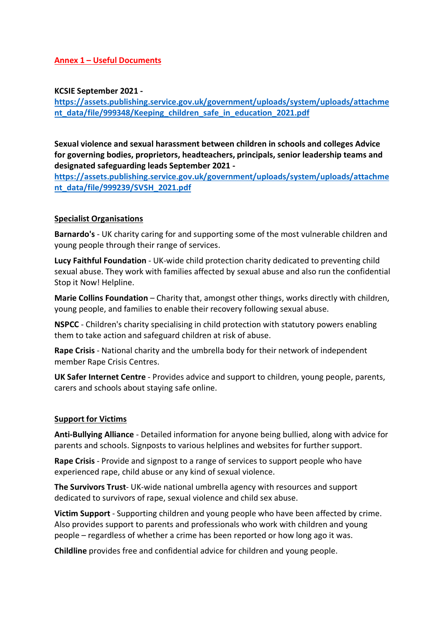#### **Annex 1 – Useful Documents**

**KCSIE September 2021 -**

**https://assets.publishing.service.gov.uk/government/uploads/system/uploads/attachme nt\_data/file/999348/Keeping\_children\_safe\_in\_education\_2021.pdf**

**Sexual violence and sexual harassment between children in schools and colleges Advice for governing bodies, proprietors, headteachers, principals, senior leadership teams and designated safeguarding leads September 2021 -**

**https://assets.publishing.service.gov.uk/government/uploads/system/uploads/attachme nt\_data/file/999239/SVSH\_2021.pdf**

#### **Specialist Organisations**

**Barnardo's** - UK charity caring for and supporting some of the most vulnerable children and young people through their range of services.

**Lucy Faithful Foundation** - UK-wide child protection charity dedicated to preventing child sexual abuse. They work with families affected by sexual abuse and also run the confidential Stop it Now! Helpline.

**Marie Collins Foundation** – Charity that, amongst other things, works directly with children, young people, and families to enable their recovery following sexual abuse.

**NSPCC** - Children's charity specialising in child protection with statutory powers enabling them to take action and safeguard children at risk of abuse.

**Rape Crisis** - National charity and the umbrella body for their network of independent member Rape Crisis Centres.

**UK Safer Internet Centre** - Provides advice and support to children, young people, parents, carers and schools about staying safe online.

#### **Support for Victims**

**Anti-Bullying Alliance** - Detailed information for anyone being bullied, along with advice for parents and schools. Signposts to various helplines and websites for further support.

**Rape Crisis** - Provide and signpost to a range of services to support people who have experienced rape, child abuse or any kind of sexual violence.

**The Survivors Trust**- UK-wide national umbrella agency with resources and support dedicated to survivors of rape, sexual violence and child sex abuse.

**Victim Support** - Supporting children and young people who have been affected by crime. Also provides support to parents and professionals who work with children and young people – regardless of whether a crime has been reported or how long ago it was.

**Childline** provides free and confidential advice for children and young people.